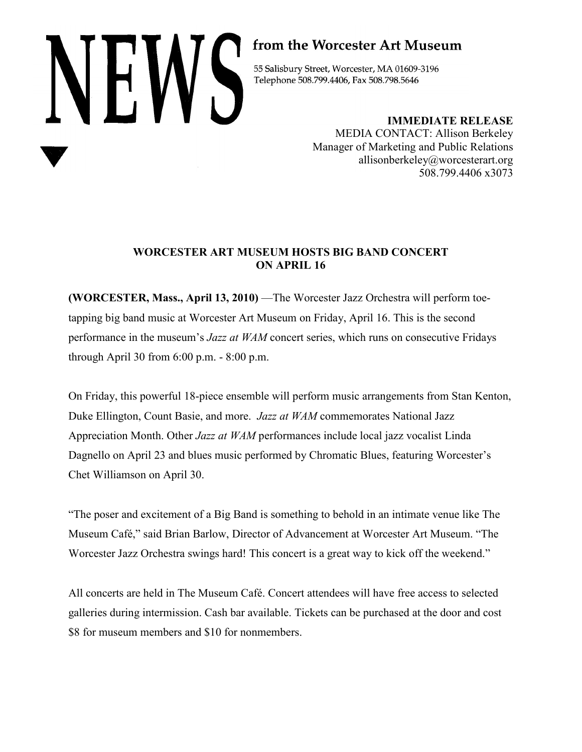# NEWS

# from the Worcester Art Museum

55 Salisbury Street, Worcester, MA 01609-3196 Telephone 508.799.4406, Fax 508.798.5646

> **IMMEDIATE RELEASE** MEDIA CONTACT: Allison Berkeley Manager of Marketing and Public Relations allisonberkeley@worcesterart.org 508.799.4406 x3073

## **WORCESTER ART MUSEUM HOSTS BIG BAND CONCERT ON APRIL 16**

**(WORCESTER, Mass., April 13, 2010)** —The Worcester Jazz Orchestra will perform toetapping big band music at Worcester Art Museum on Friday, April 16. This is the second performance in the museum's *Jazz at WAM* concert series, which runs on consecutive Fridays through April 30 from 6:00 p.m. - 8:00 p.m.

On Friday, this powerful 18-piece ensemble will perform music arrangements from Stan Kenton, Duke Ellington, Count Basie, and more. *Jazz at WAM* commemorates National Jazz Appreciation Month. Other *Jazz at WAM* performances include local jazz vocalist Linda Dagnello on April 23 and blues music performed by Chromatic Blues, featuring Worcester's Chet Williamson on April 30.

"The poser and excitement of a Big Band is something to behold in an intimate venue like The Museum Café," said Brian Barlow, Director of Advancement at Worcester Art Museum. "The Worcester Jazz Orchestra swings hard! This concert is a great way to kick off the weekend."

All concerts are held in The Museum Café. Concert attendees will have free access to selected galleries during intermission. Cash bar available. Tickets can be purchased at the door and cost \$8 for museum members and \$10 for nonmembers.